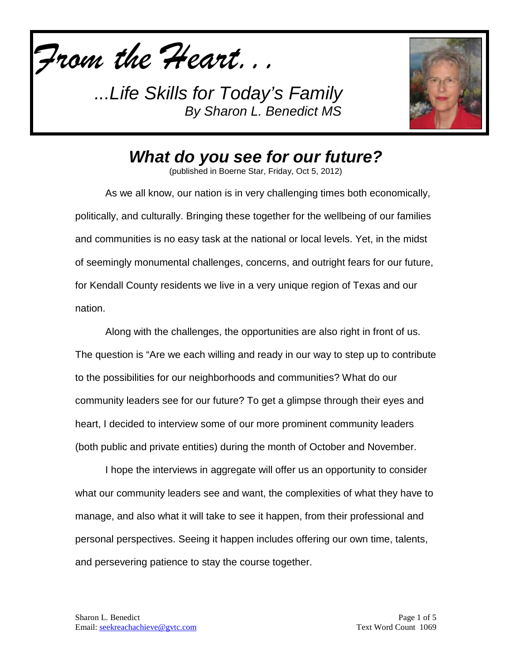*From the Heart...*

*...Life Skills for Today's Family By Sharon L. Benedict MS*



*What do you see for our future?*

(published in Boerne Star, Friday, Oct 5, 2012)

As we all know, our nation is in very challenging times both economically, politically, and culturally. Bringing these together for the wellbeing of our families and communities is no easy task at the national or local levels. Yet, in the midst of seemingly monumental challenges, concerns, and outright fears for our future, for Kendall County residents we live in a very unique region of Texas and our nation.

Along with the challenges, the opportunities are also right in front of us. The question is "Are we each willing and ready in our way to step up to contribute to the possibilities for our neighborhoods and communities? What do our community leaders see for our future? To get a glimpse through their eyes and heart, I decided to interview some of our more prominent community leaders (both public and private entities) during the month of October and November.

I hope the interviews in aggregate will offer us an opportunity to consider what our community leaders see and want, the complexities of what they have to manage, and also what it will take to see it happen, from their professional and personal perspectives. Seeing it happen includes offering our own time, talents, and persevering patience to stay the course together.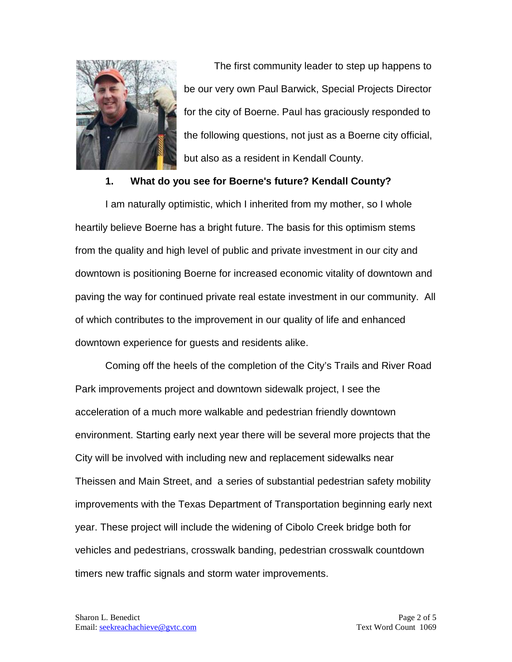

The first community leader to step up happens to be our very own Paul Barwick, Special Projects Director for the city of Boerne. Paul has graciously responded to the following questions, not just as a Boerne city official, but also as a resident in Kendall County.

#### **1. What do you see for Boerne's future? Kendall County?**

I am naturally optimistic, which I inherited from my mother, so I whole heartily believe Boerne has a bright future. The basis for this optimism stems from the quality and high level of public and private investment in our city and downtown is positioning Boerne for increased economic vitality of downtown and paving the way for continued private real estate investment in our community. All of which contributes to the improvement in our quality of life and enhanced downtown experience for guests and residents alike.

Coming off the heels of the completion of the City's Trails and River Road Park improvements project and downtown sidewalk project, I see the acceleration of a much more walkable and pedestrian friendly downtown environment. Starting early next year there will be several more projects that the City will be involved with including new and replacement sidewalks near Theissen and Main Street, and a series of substantial pedestrian safety mobility improvements with the Texas Department of Transportation beginning early next year. These project will include the widening of Cibolo Creek bridge both for vehicles and pedestrians, crosswalk banding, pedestrian crosswalk countdown timers new traffic signals and storm water improvements.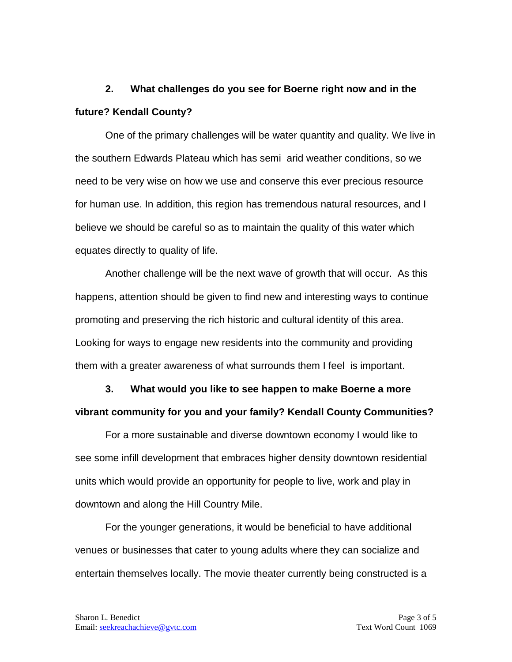### **2. What challenges do you see for Boerne right now and in the future? Kendall County?**

One of the primary challenges will be water quantity and quality. We live in the southern Edwards Plateau which has semi arid weather conditions, so we need to be very wise on how we use and conserve this ever precious resource for human use. In addition, this region has tremendous natural resources, and I believe we should be careful so as to maintain the quality of this water which equates directly to quality of life.

Another challenge will be the next wave of growth that will occur. As this happens, attention should be given to find new and interesting ways to continue promoting and preserving the rich historic and cultural identity of this area. Looking for ways to engage new residents into the community and providing them with a greater awareness of what surrounds them I feel is important.

**3. What would you like to see happen to make Boerne a more vibrant community for you and your family? Kendall County Communities?**

For a more sustainable and diverse downtown economy I would like to see some infill development that embraces higher density downtown residential units which would provide an opportunity for people to live, work and play in downtown and along the Hill Country Mile.

For the younger generations, it would be beneficial to have additional venues or businesses that cater to young adults where they can socialize and entertain themselves locally. The movie theater currently being constructed is a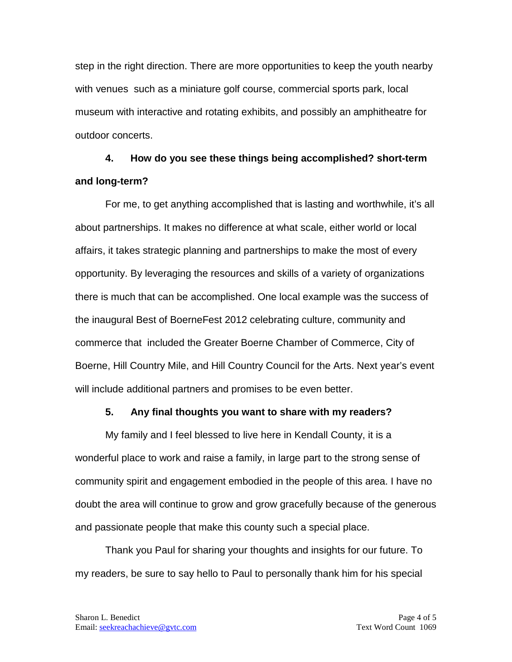step in the right direction. There are more opportunities to keep the youth nearby with venues such as a miniature golf course, commercial sports park, local museum with interactive and rotating exhibits, and possibly an amphitheatre for outdoor concerts.

# **4. How do you see these things being accomplished? short-term and long-term?**

For me, to get anything accomplished that is lasting and worthwhile, it's all about partnerships. It makes no difference at what scale, either world or local affairs, it takes strategic planning and partnerships to make the most of every opportunity. By leveraging the resources and skills of a variety of organizations there is much that can be accomplished. One local example was the success of the inaugural Best of BoerneFest 2012 celebrating culture, community and commerce that included the Greater Boerne Chamber of Commerce, City of Boerne, Hill Country Mile, and Hill Country Council for the Arts. Next year's event will include additional partners and promises to be even better.

### **5. Any final thoughts you want to share with my readers?**

My family and I feel blessed to live here in Kendall County, it is a wonderful place to work and raise a family, in large part to the strong sense of community spirit and engagement embodied in the people of this area. I have no doubt the area will continue to grow and grow gracefully because of the generous and passionate people that make this county such a special place.

Thank you Paul for sharing your thoughts and insights for our future. To my readers, be sure to say hello to Paul to personally thank him for his special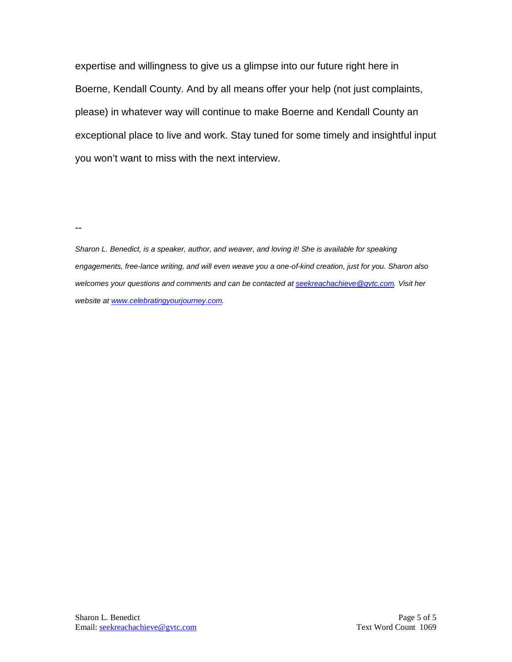expertise and willingness to give us a glimpse into our future right here in Boerne, Kendall County. And by all means offer your help (not just complaints, please) in whatever way will continue to make Boerne and Kendall County an exceptional place to live and work. Stay tuned for some timely and insightful input you won't want to miss with the next interview.

--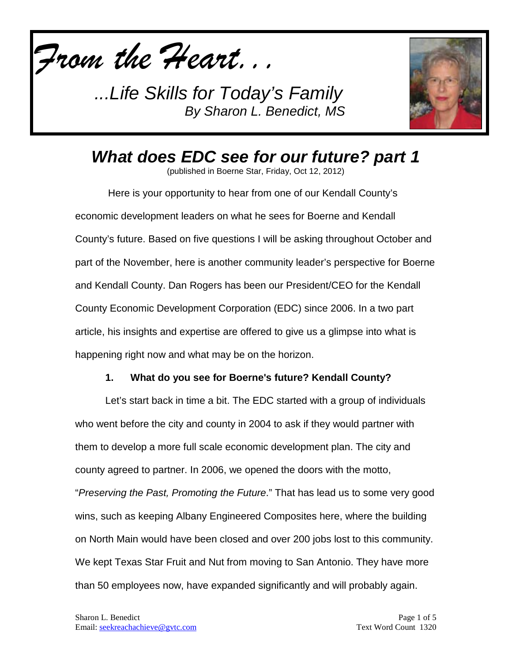*From the Heart...*

*...Life Skills for Today's Family By Sharon L. Benedict, MS*



# *What does EDC see for our future? part 1*

(published in Boerne Star, Friday, Oct 12, 2012)

Here is your opportunity to hear from one of our Kendall County's economic development leaders on what he sees for Boerne and Kendall County's future. Based on five questions I will be asking throughout October and part of the November, here is another community leader's perspective for Boerne and Kendall County. Dan Rogers has been our President/CEO for the Kendall County Economic Development Corporation (EDC) since 2006. In a two part article, his insights and expertise are offered to give us a glimpse into what is happening right now and what may be on the horizon.

### **1. What do you see for Boerne's future? Kendall County?**

Let's start back in time a bit. The EDC started with a group of individuals who went before the city and county in 2004 to ask if they would partner with them to develop a more full scale economic development plan. The city and county agreed to partner. In 2006, we opened the doors with the motto, "*Preserving the Past, Promoting the Future*." That has lead us to some very good wins, such as keeping Albany Engineered Composites here, where the building on North Main would have been closed and over 200 jobs lost to this community. We kept Texas Star Fruit and Nut from moving to San Antonio. They have more than 50 employees now, have expanded significantly and will probably again.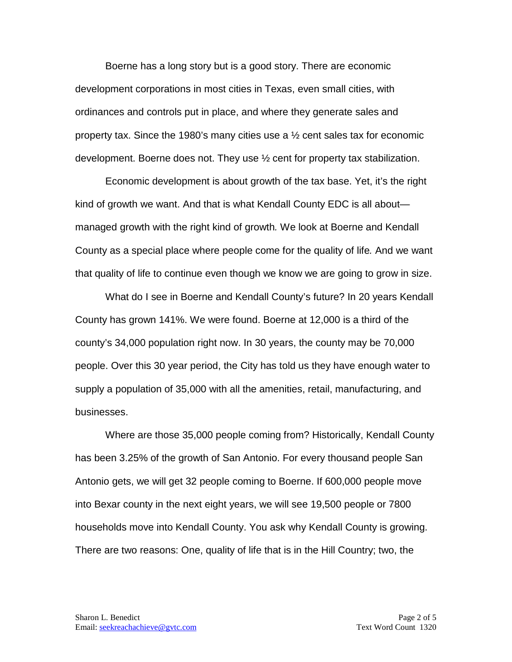Boerne has a long story but is a good story. There are economic development corporations in most cities in Texas, even small cities, with ordinances and controls put in place, and where they generate sales and property tax. Since the 1980's many cities use a  $\frac{1}{2}$  cent sales tax for economic development. Boerne does not. They use ½ cent for property tax stabilization.

Economic development is about growth of the tax base. Yet, it's the right kind of growth we want. And that is what Kendall County EDC is all about managed growth with the right kind of growth*.* We look at Boerne and Kendall County as a special place where people come for the quality of life*.* And we want that quality of life to continue even though we know we are going to grow in size.

What do I see in Boerne and Kendall County's future? In 20 years Kendall County has grown 141%. We were found. Boerne at 12,000 is a third of the county's 34,000 population right now. In 30 years, the county may be 70,000 people. Over this 30 year period, the City has told us they have enough water to supply a population of 35,000 with all the amenities, retail, manufacturing, and businesses.

Where are those 35,000 people coming from? Historically, Kendall County has been 3.25% of the growth of San Antonio. For every thousand people San Antonio gets, we will get 32 people coming to Boerne. If 600,000 people move into Bexar county in the next eight years, we will see 19,500 people or 7800 households move into Kendall County. You ask why Kendall County is growing. There are two reasons: One, quality of life that is in the Hill Country; two, the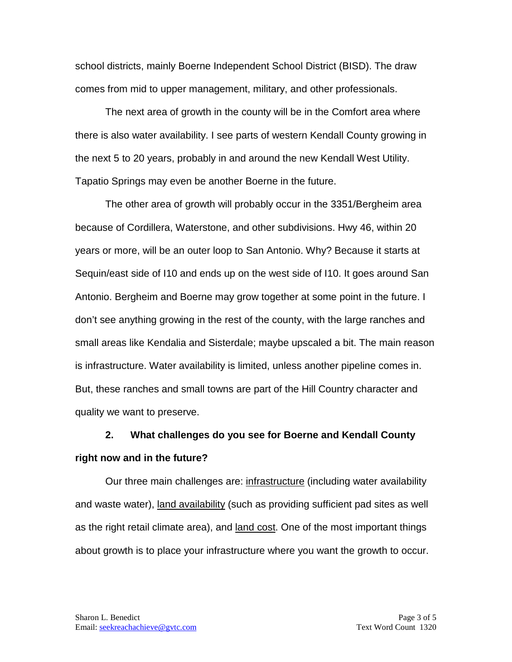school districts, mainly Boerne Independent School District (BISD). The draw comes from mid to upper management, military, and other professionals.

The next area of growth in the county will be in the Comfort area where there is also water availability. I see parts of western Kendall County growing in the next 5 to 20 years, probably in and around the new Kendall West Utility. Tapatio Springs may even be another Boerne in the future.

The other area of growth will probably occur in the 3351/Bergheim area because of Cordillera, Waterstone, and other subdivisions. Hwy 46, within 20 years or more, will be an outer loop to San Antonio. Why? Because it starts at Sequin/east side of I10 and ends up on the west side of I10. It goes around San Antonio. Bergheim and Boerne may grow together at some point in the future. I don't see anything growing in the rest of the county, with the large ranches and small areas like Kendalia and Sisterdale; maybe upscaled a bit. The main reason is infrastructure. Water availability is limited, unless another pipeline comes in. But, these ranches and small towns are part of the Hill Country character and quality we want to preserve.

### **2. What challenges do you see for Boerne and Kendall County right now and in the future?**

Our three main challenges are: infrastructure (including water availability and waste water), land availability (such as providing sufficient pad sites as well as the right retail climate area), and land cost. One of the most important things about growth is to place your infrastructure where you want the growth to occur.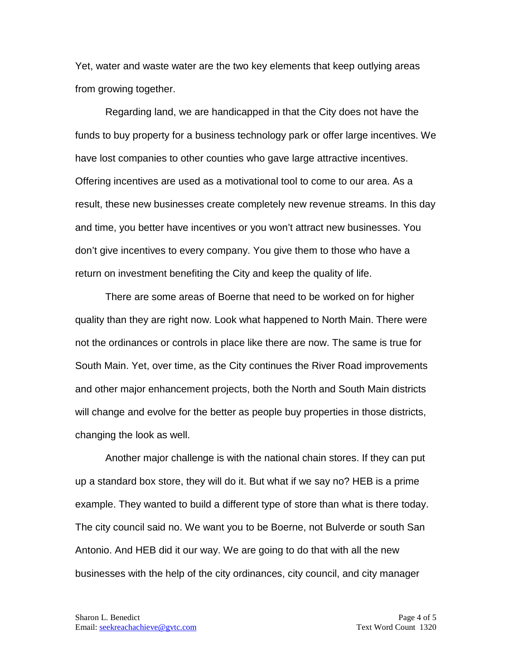Yet, water and waste water are the two key elements that keep outlying areas from growing together.

Regarding land, we are handicapped in that the City does not have the funds to buy property for a business technology park or offer large incentives. We have lost companies to other counties who gave large attractive incentives. Offering incentives are used as a motivational tool to come to our area. As a result, these new businesses create completely new revenue streams. In this day and time, you better have incentives or you won't attract new businesses. You don't give incentives to every company. You give them to those who have a return on investment benefiting the City and keep the quality of life.

There are some areas of Boerne that need to be worked on for higher quality than they are right now. Look what happened to North Main. There were not the ordinances or controls in place like there are now. The same is true for South Main. Yet, over time, as the City continues the River Road improvements and other major enhancement projects, both the North and South Main districts will change and evolve for the better as people buy properties in those districts, changing the look as well.

Another major challenge is with the national chain stores. If they can put up a standard box store, they will do it. But what if we say no? HEB is a prime example. They wanted to build a different type of store than what is there today. The city council said no. We want you to be Boerne, not Bulverde or south San Antonio. And HEB did it our way. We are going to do that with all the new businesses with the help of the city ordinances, city council, and city manager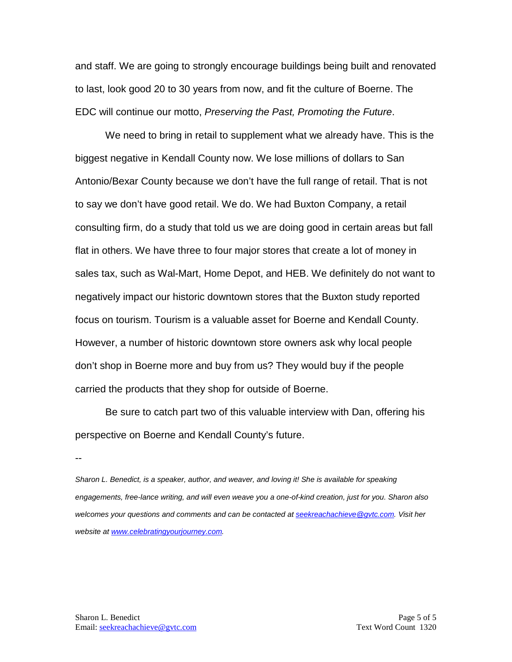and staff. We are going to strongly encourage buildings being built and renovated to last, look good 20 to 30 years from now, and fit the culture of Boerne. The EDC will continue our motto, *Preserving the Past, Promoting the Future*.

We need to bring in retail to supplement what we already have. This is the biggest negative in Kendall County now. We lose millions of dollars to San Antonio/Bexar County because we don't have the full range of retail. That is not to say we don't have good retail. We do. We had Buxton Company, a retail consulting firm, do a study that told us we are doing good in certain areas but fall flat in others. We have three to four major stores that create a lot of money in sales tax, such as Wal-Mart, Home Depot, and HEB. We definitely do not want to negatively impact our historic downtown stores that the Buxton study reported focus on tourism. Tourism is a valuable asset for Boerne and Kendall County. However, a number of historic downtown store owners ask why local people don't shop in Boerne more and buy from us? They would buy if the people carried the products that they shop for outside of Boerne.

Be sure to catch part two of this valuable interview with Dan, offering his perspective on Boerne and Kendall County's future.

--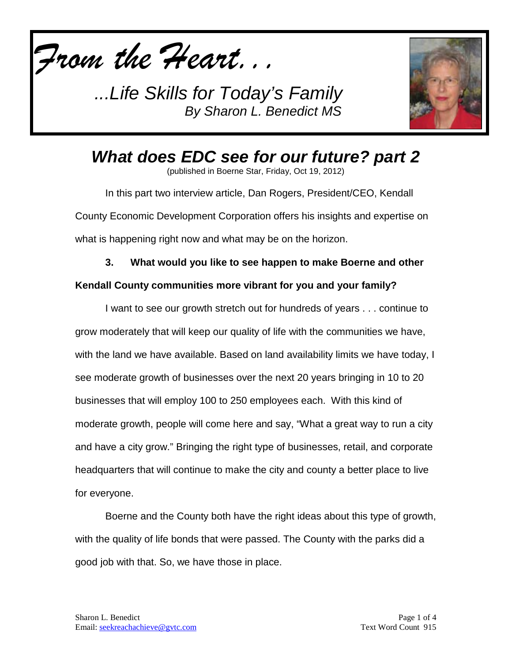*From the Heart...*

*...Life Skills for Today's Family By Sharon L. Benedict MS*



*What does EDC see for our future? part 2*

(published in Boerne Star, Friday, Oct 19, 2012)

In this part two interview article, Dan Rogers, President/CEO, Kendall County Economic Development Corporation offers his insights and expertise on what is happening right now and what may be on the horizon.

**3. What would you like to see happen to make Boerne and other** 

### **Kendall County communities more vibrant for you and your family?**

I want to see our growth stretch out for hundreds of years . . . continue to grow moderately that will keep our quality of life with the communities we have, with the land we have available. Based on land availability limits we have today, I see moderate growth of businesses over the next 20 years bringing in 10 to 20 businesses that will employ 100 to 250 employees each. With this kind of moderate growth, people will come here and say, "What a great way to run a city and have a city grow." Bringing the right type of businesses, retail, and corporate headquarters that will continue to make the city and county a better place to live for everyone.

Boerne and the County both have the right ideas about this type of growth, with the quality of life bonds that were passed. The County with the parks did a good job with that. So, we have those in place.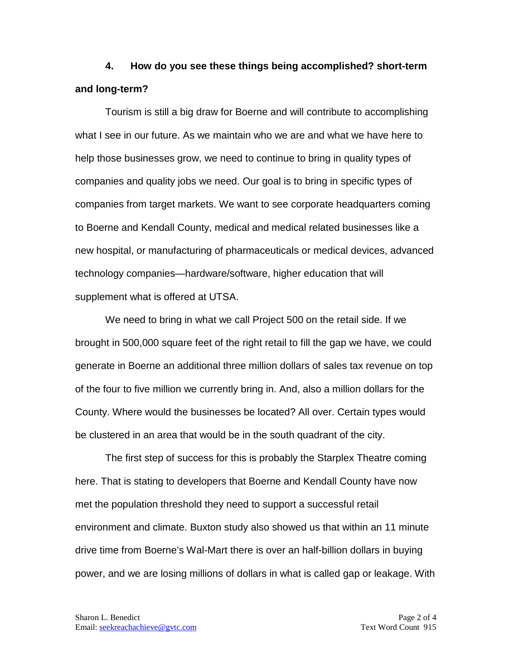**4. How do you see these things being accomplished? short-term and long-term?**

Tourism is still a big draw for Boerne and will contribute to accomplishing what I see in our future. As we maintain who we are and what we have here to help those businesses grow, we need to continue to bring in quality types of companies and quality jobs we need. Our goal is to bring in specific types of companies from target markets. We want to see corporate headquarters coming to Boerne and Kendall County, medical and medical related businesses like a new hospital, or manufacturing of pharmaceuticals or medical devices, advanced technology companies—hardware/software, higher education that will supplement what is offered at UTSA.

We need to bring in what we call Project 500 on the retail side. If we brought in 500,000 square feet of the right retail to fill the gap we have, we could generate in Boerne an additional three million dollars of sales tax revenue on top of the four to five million we currently bring in. And, also a million dollars for the County. Where would the businesses be located? All over. Certain types would be clustered in an area that would be in the south quadrant of the city.

The first step of success for this is probably the Starplex Theatre coming here. That is stating to developers that Boerne and Kendall County have now met the population threshold they need to support a successful retail environment and climate. Buxton study also showed us that within an 11 minute drive time from Boerne's Wal-Mart there is over an half-billion dollars in buying power, and we are losing millions of dollars in what is called gap or leakage. With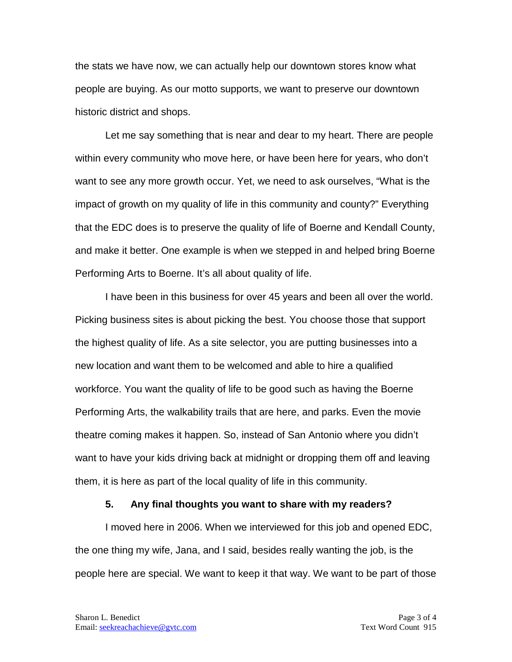the stats we have now, we can actually help our downtown stores know what people are buying. As our motto supports, we want to preserve our downtown historic district and shops.

Let me say something that is near and dear to my heart. There are people within every community who move here, or have been here for years, who don't want to see any more growth occur. Yet, we need to ask ourselves, "What is the impact of growth on my quality of life in this community and county?" Everything that the EDC does is to preserve the quality of life of Boerne and Kendall County, and make it better. One example is when we stepped in and helped bring Boerne Performing Arts to Boerne. It's all about quality of life.

I have been in this business for over 45 years and been all over the world. Picking business sites is about picking the best. You choose those that support the highest quality of life. As a site selector, you are putting businesses into a new location and want them to be welcomed and able to hire a qualified workforce. You want the quality of life to be good such as having the Boerne Performing Arts, the walkability trails that are here, and parks. Even the movie theatre coming makes it happen. So, instead of San Antonio where you didn't want to have your kids driving back at midnight or dropping them off and leaving them, it is here as part of the local quality of life in this community.

#### **5. Any final thoughts you want to share with my readers?**

I moved here in 2006. When we interviewed for this job and opened EDC, the one thing my wife, Jana, and I said, besides really wanting the job, is the people here are special. We want to keep it that way. We want to be part of those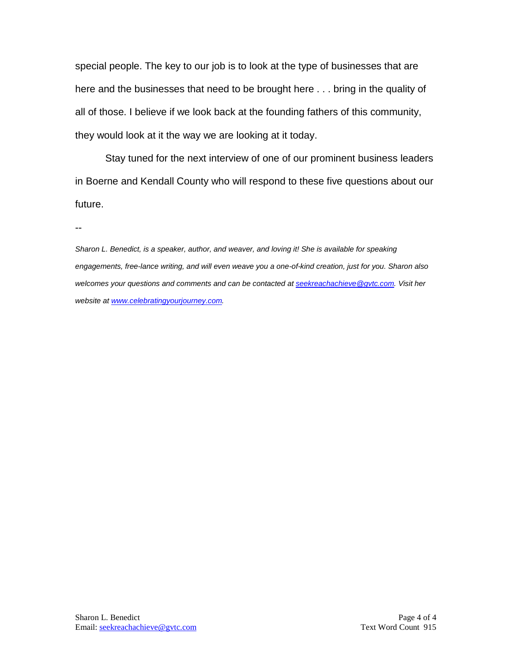special people. The key to our job is to look at the type of businesses that are here and the businesses that need to be brought here . . . bring in the quality of all of those. I believe if we look back at the founding fathers of this community, they would look at it the way we are looking at it today.

Stay tuned for the next interview of one of our prominent business leaders in Boerne and Kendall County who will respond to these five questions about our future.

--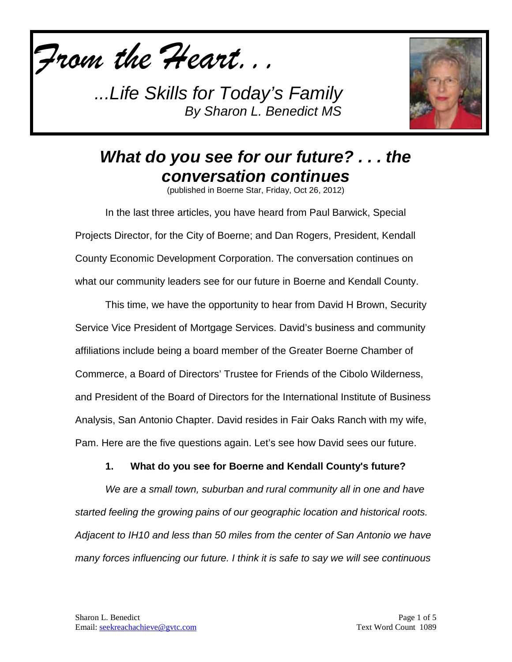*From the Heart...*

*...Life Skills for Today's Family By Sharon L. Benedict MS*



# *What do you see for our future? . . . the conversation continues*

(published in Boerne Star, Friday, Oct 26, 2012)

In the last three articles, you have heard from Paul Barwick, Special Projects Director, for the City of Boerne; and Dan Rogers, President, Kendall County Economic Development Corporation. The conversation continues on what our community leaders see for our future in Boerne and Kendall County.

This time, we have the opportunity to hear from David H Brown, Security Service Vice President of Mortgage Services. David's business and community affiliations include being a board member of the Greater Boerne Chamber of Commerce, a Board of Directors' Trustee for Friends of the Cibolo Wilderness, and President of the Board of Directors for the International Institute of Business Analysis, San Antonio Chapter. David resides in Fair Oaks Ranch with my wife, Pam. Here are the five questions again. Let's see how David sees our future.

### **1. What do you see for Boerne and Kendall County's future?**

*We are a small town, suburban and rural community all in one and have started feeling the growing pains of our geographic location and historical roots. Adjacent to IH10 and less than 50 miles from the center of San Antonio we have many forces influencing our future. I think it is safe to say we will see continuous*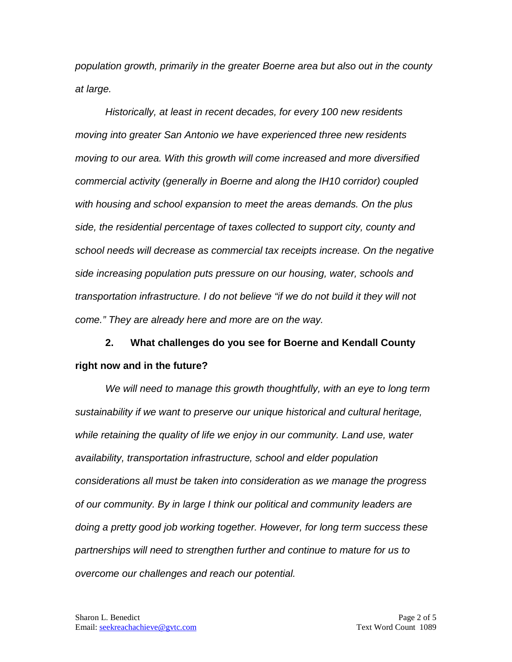*population growth, primarily in the greater Boerne area but also out in the county at large.* 

*Historically, at least in recent decades, for every 100 new residents moving into greater San Antonio we have experienced three new residents moving to our area. With this growth will come increased and more diversified commercial activity (generally in Boerne and along the IH10 corridor) coupled with housing and school expansion to meet the areas demands. On the plus side, the residential percentage of taxes collected to support city, county and school needs will decrease as commercial tax receipts increase. On the negative side increasing population puts pressure on our housing, water, schools and transportation infrastructure. I do not believe "if we do not build it they will not come." They are already here and more are on the way.* 

**2. What challenges do you see for Boerne and Kendall County right now and in the future?**

*We will need to manage this growth thoughtfully, with an eye to long term sustainability if we want to preserve our unique historical and cultural heritage, while retaining the quality of life we enjoy in our community. Land use, water availability, transportation infrastructure, school and elder population considerations all must be taken into consideration as we manage the progress of our community. By in large I think our political and community leaders are doing a pretty good job working together. However, for long term success these partnerships will need to strengthen further and continue to mature for us to overcome our challenges and reach our potential.*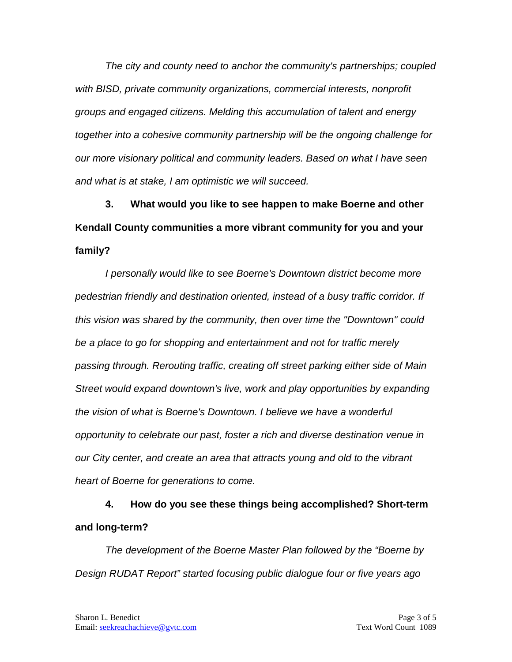*The city and county need to anchor the community's partnerships; coupled with BISD, private community organizations, commercial interests, nonprofit groups and engaged citizens. Melding this accumulation of talent and energy together into a cohesive community partnership will be the ongoing challenge for our more visionary political and community leaders. Based on what I have seen and what is at stake, I am optimistic we will succeed.*

**3. What would you like to see happen to make Boerne and other Kendall County communities a more vibrant community for you and your family?**

*I personally would like to see Boerne's Downtown district become more pedestrian friendly and destination oriented, instead of a busy traffic corridor. If this vision was shared by the community, then over time the "Downtown" could be a place to go for shopping and entertainment and not for traffic merely passing through. Rerouting traffic, creating off street parking either side of Main Street would expand downtown's live, work and play opportunities by expanding the vision of what is Boerne's Downtown. I believe we have a wonderful opportunity to celebrate our past, foster a rich and diverse destination venue in our City center, and create an area that attracts young and old to the vibrant heart of Boerne for generations to come.* 

**4. How do you see these things being accomplished? Short-term and long-term?**

*The development of the Boerne Master Plan followed by the "Boerne by Design RUDAT Report" started focusing public dialogue four or five years ago*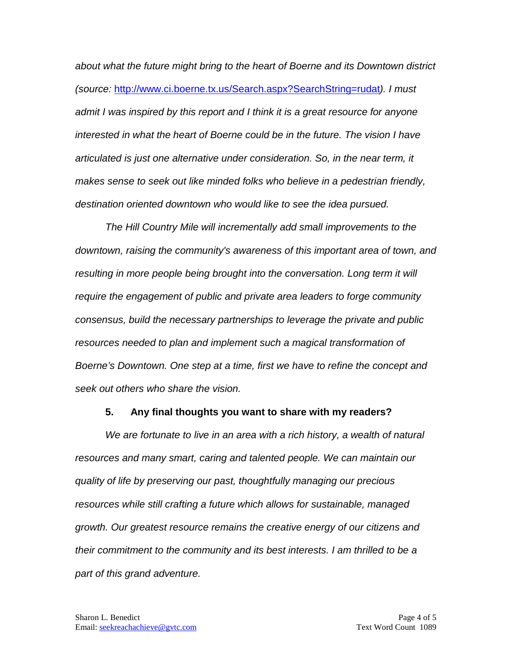*about what the future might bring to the heart of Boerne and its Downtown district (source:* <http://www.ci.boerne.tx.us/Search.aspx?SearchString=rudat>*). I must admit I was inspired by this report and I think it is a great resource for anyone interested in what the heart of Boerne could be in the future. The vision I have articulated is just one alternative under consideration. So, in the near term, it makes sense to seek out like minded folks who believe in a pedestrian friendly, destination oriented downtown who would like to see the idea pursued.* 

*The Hill Country Mile will incrementally add small improvements to the downtown, raising the community's awareness of this important area of town, and resulting in more people being brought into the conversation. Long term it will require the engagement of public and private area leaders to forge community consensus, build the necessary partnerships to leverage the private and public resources needed to plan and implement such a magical transformation of Boerne's Downtown. One step at a time, first we have to refine the concept and seek out others who share the vision.* 

#### **5. Any final thoughts you want to share with my readers?**

*We are fortunate to live in an area with a rich history, a wealth of natural resources and many smart, caring and talented people. We can maintain our quality of life by preserving our past, thoughtfully managing our precious resources while still crafting a future which allows for sustainable, managed growth. Our greatest resource remains the creative energy of our citizens and their commitment to the community and its best interests. I am thrilled to be a part of this grand adventure.*